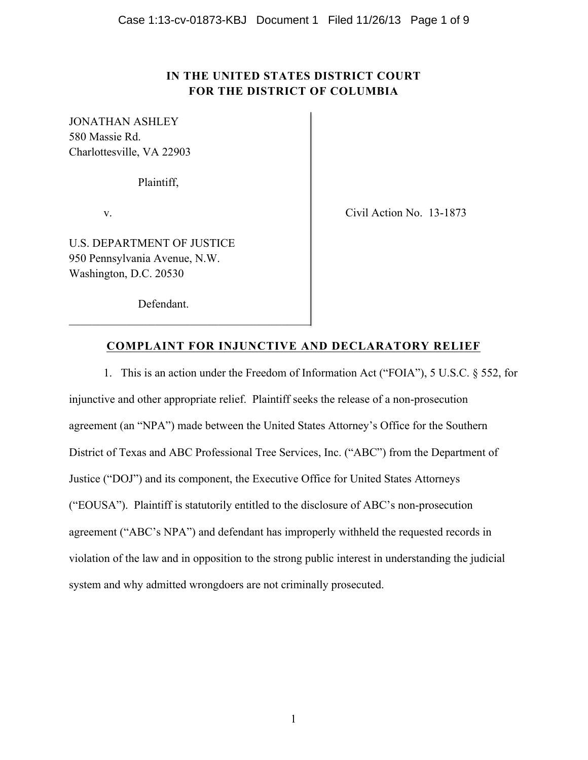# **IN THE UNITED STATES DISTRICT COURT FOR THE DISTRICT OF COLUMBIA**

JONATHAN ASHLEY 580 Massie Rd. Charlottesville, VA 22903

Plaintiff,

v. Civil Action No. 13-1873

U.S. DEPARTMENT OF JUSTICE 950 Pennsylvania Avenue, N.W. Washington, D.C. 20530

Defendant.

\_\_\_\_\_\_\_\_\_\_\_\_\_\_\_\_\_\_\_\_\_\_\_\_\_\_\_\_\_\_\_\_\_\_\_\_\_\_\_\_\_\_

# **COMPLAINT FOR INJUNCTIVE AND DECLARATORY RELIEF**

1. This is an action under the Freedom of Information Act ("FOIA"), 5 U.S.C. § 552, for injunctive and other appropriate relief. Plaintiff seeks the release of a non-prosecution agreement (an "NPA") made between the United States Attorney's Office for the Southern District of Texas and ABC Professional Tree Services, Inc. ("ABC") from the Department of Justice ("DOJ") and its component, the Executive Office for United States Attorneys ("EOUSA"). Plaintiff is statutorily entitled to the disclosure of ABC's non-prosecution agreement ("ABC's NPA") and defendant has improperly withheld the requested records in violation of the law and in opposition to the strong public interest in understanding the judicial system and why admitted wrongdoers are not criminally prosecuted.

1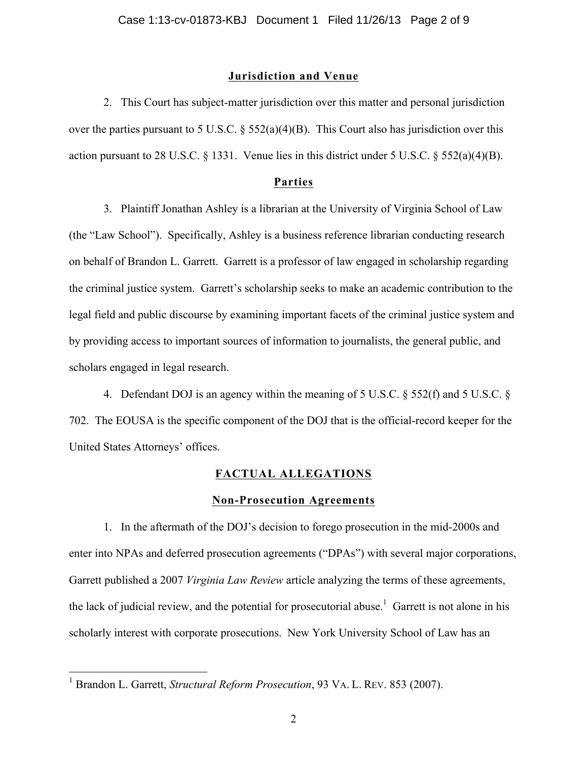#### **Jurisdiction and Venue**

2. This Court has subject-matter jurisdiction over this matter and personal jurisdiction over the parties pursuant to 5 U.S.C. § 552(a)(4)(B). This Court also has jurisdiction over this action pursuant to 28 U.S.C. § 1331. Venue lies in this district under 5 U.S.C. § 552(a)(4)(B).

### **Parties**

3. Plaintiff Jonathan Ashley is a librarian at the University of Virginia School of Law (the "Law School"). Specifically, Ashley is a business reference librarian conducting research on behalf of Brandon L. Garrett. Garrett is a professor of law engaged in scholarship regarding the criminal justice system. Garrett's scholarship seeks to make an academic contribution to the legal field and public discourse by examining important facets of the criminal justice system and by providing access to important sources of information to journalists, the general public, and scholars engaged in legal research.

4. Defendant DOJ is an agency within the meaning of 5 U.S.C. § 552(f) and 5 U.S.C. § 702. The EOUSA is the specific component of the DOJ that is the official-record keeper for the United States Attorneys' offices.

#### **FACTUAL ALLEGATIONS**

#### **Non-Prosecution Agreements**

1. In the aftermath of the DOJ's decision to forego prosecution in the mid-2000s and enter into NPAs and deferred prosecution agreements ("DPAs") with several major corporations, Garrett published a 2007 *Virginia Law Review* article analyzing the terms of these agreements, the lack of judicial review, and the potential for prosecutorial abuse.<sup>1</sup> Garrett is not alone in his scholarly interest with corporate prosecutions. New York University School of Law has an

 <sup>1</sup> Brandon L. Garrett, *Structural Reform Prosecution*, 93 VA. L. REV. 853 (2007).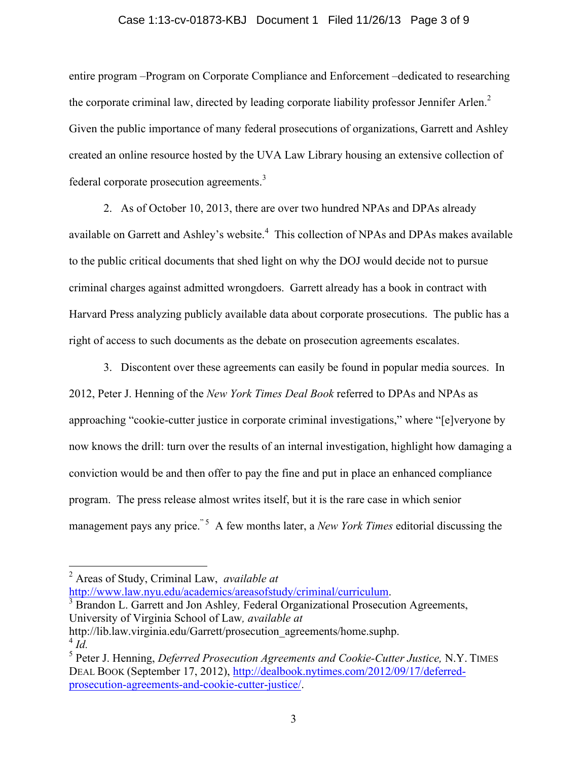#### Case 1:13-cv-01873-KBJ Document 1 Filed 11/26/13 Page 3 of 9

entire program –Program on Corporate Compliance and Enforcement –dedicated to researching the corporate criminal law, directed by leading corporate liability professor Jennifer Arlen.<sup>2</sup> Given the public importance of many federal prosecutions of organizations, Garrett and Ashley created an online resource hosted by the UVA Law Library housing an extensive collection of federal corporate prosecution agreements.<sup>3</sup>

2. As of October 10, 2013, there are over two hundred NPAs and DPAs already available on Garrett and Ashley's website.<sup>4</sup> This collection of NPAs and DPAs makes available to the public critical documents that shed light on why the DOJ would decide not to pursue criminal charges against admitted wrongdoers. Garrett already has a book in contract with Harvard Press analyzing publicly available data about corporate prosecutions. The public has a right of access to such documents as the debate on prosecution agreements escalates.

3. Discontent over these agreements can easily be found in popular media sources. In 2012, Peter J. Henning of the *New York Times Deal Book* referred to DPAs and NPAs as approaching "cookie-cutter justice in corporate criminal investigations," where "[e]veryone by now knows the drill: turn over the results of an internal investigation, highlight how damaging a conviction would be and then offer to pay the fine and put in place an enhanced compliance program. The press release almost writes itself, but it is the rare case in which senior management pays any price.<sup>"5</sup> A few months later, a *New York Times* editorial discussing the

- http://www.law.nyu.edu/academics/areasofstudy/criminal/curriculum. 3 Brandon L. Garrett and Jon Ashley*,* Federal Organizational Prosecution Agreements, University of Virginia School of Law*, available at*
- http://lib.law.virginia.edu/Garrett/prosecution\_agreements/home.suphp.  $^{4}$  *Id.*

 <sup>2</sup> Areas of Study, Criminal Law, *available at*

<sup>5</sup> Peter J. Henning, *Deferred Prosecution Agreements and Cookie-Cutter Justice,* N.Y. TIMES DEAL BOOK (September 17, 2012), http://dealbook.nytimes.com/2012/09/17/deferredprosecution-agreements-and-cookie-cutter-justice/.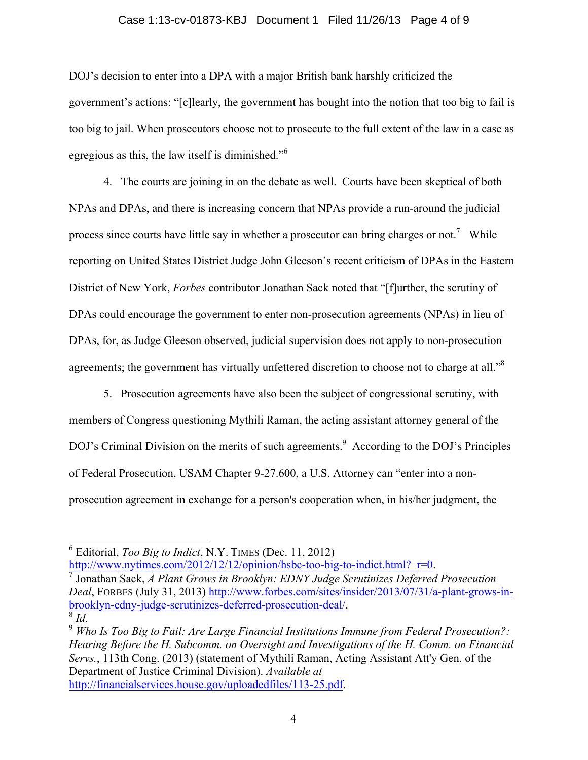#### Case 1:13-cv-01873-KBJ Document 1 Filed 11/26/13 Page 4 of 9

DOJ's decision to enter into a DPA with a major British bank harshly criticized the government's actions: "[c]learly, the government has bought into the notion that too big to fail is too big to jail. When prosecutors choose not to prosecute to the full extent of the law in a case as egregious as this, the law itself is diminished."<sup>6</sup>

4. The courts are joining in on the debate as well. Courts have been skeptical of both NPAs and DPAs, and there is increasing concern that NPAs provide a run-around the judicial process since courts have little say in whether a prosecutor can bring charges or not.<sup>7</sup> While reporting on United States District Judge John Gleeson's recent criticism of DPAs in the Eastern District of New York, *Forbes* contributor Jonathan Sack noted that "[f]urther, the scrutiny of DPAs could encourage the government to enter non-prosecution agreements (NPAs) in lieu of DPAs, for, as Judge Gleeson observed, judicial supervision does not apply to non-prosecution agreements; the government has virtually unfettered discretion to choose not to charge at all."<sup>8</sup>

5. Prosecution agreements have also been the subject of congressional scrutiny, with members of Congress questioning Mythili Raman, the acting assistant attorney general of the DOJ's Criminal Division on the merits of such agreements.<sup>9</sup> According to the DOJ's Principles of Federal Prosecution, USAM Chapter 9-27.600, a U.S. Attorney can "enter into a nonprosecution agreement in exchange for a person's cooperation when, in his/her judgment, the

http://www.nytimes.com/2012/12/12/opinion/hsbc-too-big-to-indict.html?\_r=0. 7 Jonathan Sack, *A Plant Grows in Brooklyn: EDNY Judge Scrutinizes Deferred Prosecution* 

*Deal*, FORBES (July 31, 2013) http://www.forbes.com/sites/insider/2013/07/31/a-plant-grows-inbrooklyn-edny-judge-scrutinizes-deferred-prosecution-deal/. 8 *Id.*

 <sup>6</sup> Editorial, *Too Big to Indict*, N.Y. TIMES (Dec. 11, 2012)

<sup>9</sup> *Who Is Too Big to Fail: Are Large Financial Institutions Immune from Federal Prosecution?: Hearing Before the H. Subcomm. on Oversight and Investigations of the H. Comm. on Financial Servs.*, 113th Cong. (2013) (statement of Mythili Raman, Acting Assistant Att'y Gen. of the Department of Justice Criminal Division). *Available at* http://financialservices.house.gov/uploadedfiles/113-25.pdf.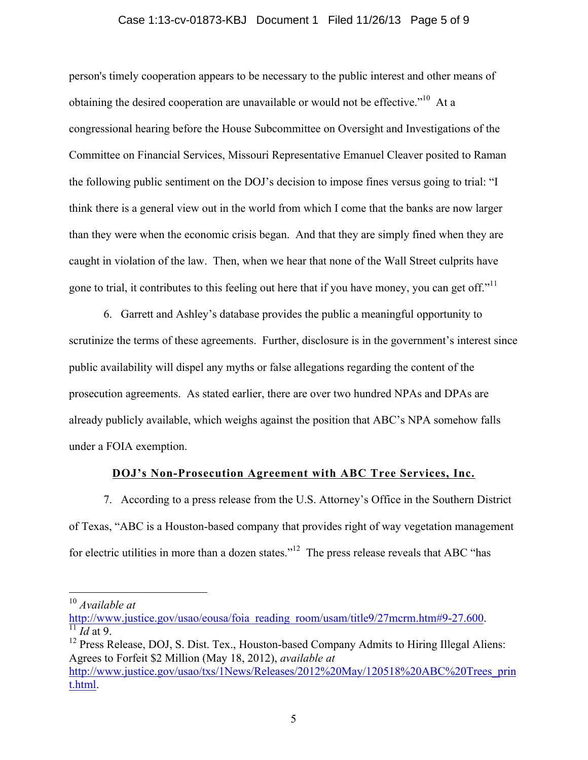#### Case 1:13-cv-01873-KBJ Document 1 Filed 11/26/13 Page 5 of 9

person's timely cooperation appears to be necessary to the public interest and other means of obtaining the desired cooperation are unavailable or would not be effective."<sup>10</sup> At a congressional hearing before the House Subcommittee on Oversight and Investigations of the Committee on Financial Services, Missouri Representative Emanuel Cleaver posited to Raman the following public sentiment on the DOJ's decision to impose fines versus going to trial: "I think there is a general view out in the world from which I come that the banks are now larger than they were when the economic crisis began. And that they are simply fined when they are caught in violation of the law. Then, when we hear that none of the Wall Street culprits have gone to trial, it contributes to this feeling out here that if you have money, you can get off."

6. Garrett and Ashley's database provides the public a meaningful opportunity to scrutinize the terms of these agreements. Further, disclosure is in the government's interest since public availability will dispel any myths or false allegations regarding the content of the prosecution agreements. As stated earlier, there are over two hundred NPAs and DPAs are already publicly available, which weighs against the position that ABC's NPA somehow falls under a FOIA exemption.

### **DOJ's Non-Prosecution Agreement with ABC Tree Services, Inc.**

7. According to a press release from the U.S. Attorney's Office in the Southern District of Texas, "ABC is a Houston-based company that provides right of way vegetation management for electric utilities in more than a dozen states."<sup>12</sup> The press release reveals that ABC "has

 <sup>10</sup> *Available at*

http://www.justice.gov/usao/eousa/foia\_reading\_room/usam/title9/27mcrm.htm#9-27.600. 11 *Id* at 9.

<sup>&</sup>lt;sup>12</sup> Press Release, DOJ, S. Dist. Tex., Houston-based Company Admits to Hiring Illegal Aliens: Agrees to Forfeit \$2 Million (May 18, 2012), *available at*

http://www.justice.gov/usao/txs/1News/Releases/2012%20May/120518%20ABC%20Trees\_prin t.html.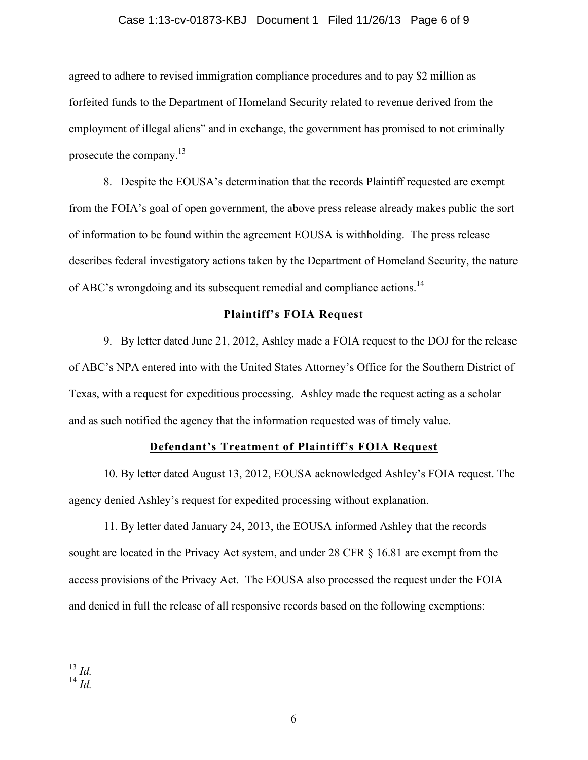#### Case 1:13-cv-01873-KBJ Document 1 Filed 11/26/13 Page 6 of 9

agreed to adhere to revised immigration compliance procedures and to pay \$2 million as forfeited funds to the Department of Homeland Security related to revenue derived from the employment of illegal aliens" and in exchange, the government has promised to not criminally prosecute the company.13

8. Despite the EOUSA's determination that the records Plaintiff requested are exempt from the FOIA's goal of open government, the above press release already makes public the sort of information to be found within the agreement EOUSA is withholding. The press release describes federal investigatory actions taken by the Department of Homeland Security, the nature of ABC's wrongdoing and its subsequent remedial and compliance actions.<sup>14</sup>

#### **Plaintiff's FOIA Request**

9. By letter dated June 21, 2012, Ashley made a FOIA request to the DOJ for the release of ABC's NPA entered into with the United States Attorney's Office for the Southern District of Texas, with a request for expeditious processing. Ashley made the request acting as a scholar and as such notified the agency that the information requested was of timely value.

#### **Defendant's Treatment of Plaintiff's FOIA Request**

10. By letter dated August 13, 2012, EOUSA acknowledged Ashley's FOIA request. The agency denied Ashley's request for expedited processing without explanation.

11. By letter dated January 24, 2013, the EOUSA informed Ashley that the records sought are located in the Privacy Act system, and under 28 CFR § 16.81 are exempt from the access provisions of the Privacy Act. The EOUSA also processed the request under the FOIA and denied in full the release of all responsive records based on the following exemptions:

 <sup>13</sup> *Id.*

<sup>14</sup> *Id.*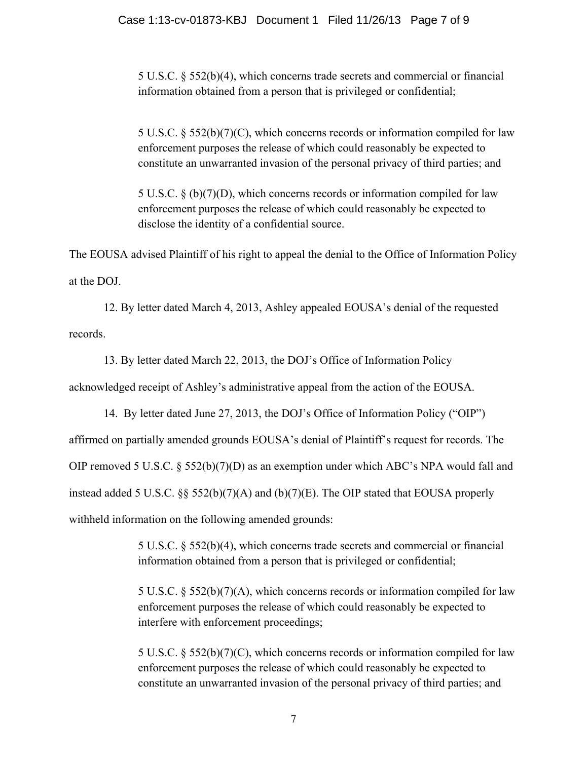5 U.S.C. § 552(b)(4), which concerns trade secrets and commercial or financial information obtained from a person that is privileged or confidential;

5 U.S.C. § 552(b)(7)(C), which concerns records or information compiled for law enforcement purposes the release of which could reasonably be expected to constitute an unwarranted invasion of the personal privacy of third parties; and

5 U.S.C. § (b)(7)(D), which concerns records or information compiled for law enforcement purposes the release of which could reasonably be expected to disclose the identity of a confidential source.

The EOUSA advised Plaintiff of his right to appeal the denial to the Office of Information Policy at the DOJ.

12. By letter dated March 4, 2013, Ashley appealed EOUSA's denial of the requested records.

13. By letter dated March 22, 2013, the DOJ's Office of Information Policy acknowledged receipt of Ashley's administrative appeal from the action of the EOUSA.

14. By letter dated June 27, 2013, the DOJ's Office of Information Policy ("OIP") affirmed on partially amended grounds EOUSA's denial of Plaintiff's request for records. The OIP removed 5 U.S.C. § 552(b)(7)(D) as an exemption under which ABC's NPA would fall and instead added 5 U.S.C. §§ 552(b)(7)(A) and (b)(7)(E). The OIP stated that EOUSA properly withheld information on the following amended grounds:

> 5 U.S.C. § 552(b)(4), which concerns trade secrets and commercial or financial information obtained from a person that is privileged or confidential;

5 U.S.C. § 552(b)(7)(A), which concerns records or information compiled for law enforcement purposes the release of which could reasonably be expected to interfere with enforcement proceedings;

5 U.S.C. § 552(b)(7)(C), which concerns records or information compiled for law enforcement purposes the release of which could reasonably be expected to constitute an unwarranted invasion of the personal privacy of third parties; and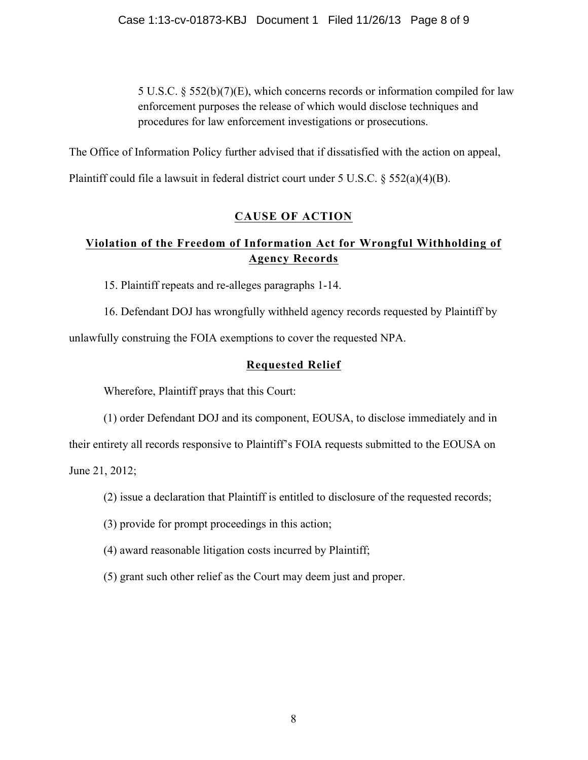5 U.S.C. § 552(b)(7)(E), which concerns records or information compiled for law enforcement purposes the release of which would disclose techniques and procedures for law enforcement investigations or prosecutions.

The Office of Information Policy further advised that if dissatisfied with the action on appeal,

Plaintiff could file a lawsuit in federal district court under 5 U.S.C. § 552(a)(4)(B).

# **CAUSE OF ACTION**

# **Violation of the Freedom of Information Act for Wrongful Withholding of Agency Records**

15. Plaintiff repeats and re-alleges paragraphs 1-14.

16. Defendant DOJ has wrongfully withheld agency records requested by Plaintiff by unlawfully construing the FOIA exemptions to cover the requested NPA.

# **Requested Relief**

Wherefore, Plaintiff prays that this Court:

(1) order Defendant DOJ and its component, EOUSA, to disclose immediately and in

their entirety all records responsive to Plaintiff's FOIA requests submitted to the EOUSA on

June 21, 2012;

- (2) issue a declaration that Plaintiff is entitled to disclosure of the requested records;
- (3) provide for prompt proceedings in this action;
- (4) award reasonable litigation costs incurred by Plaintiff;
- (5) grant such other relief as the Court may deem just and proper.